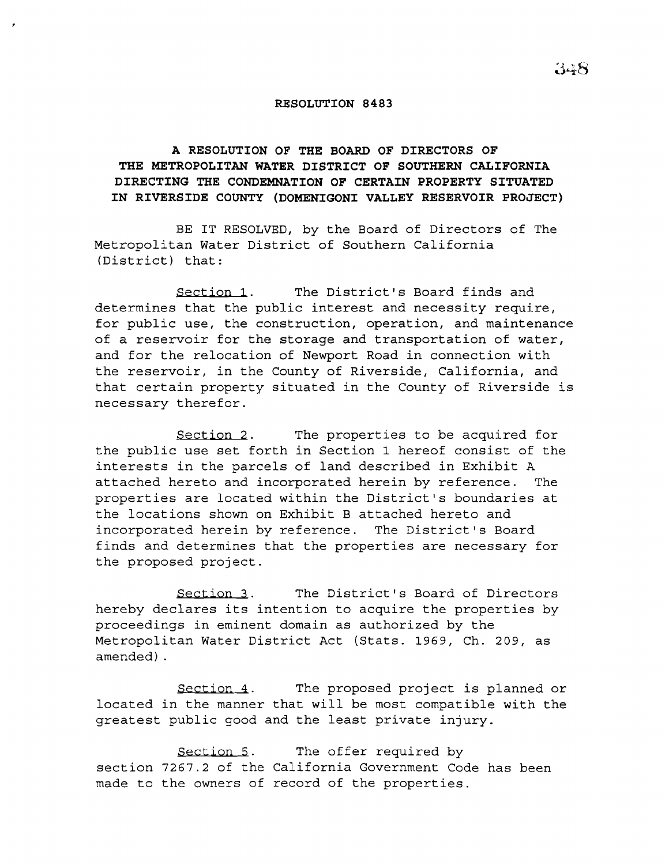## **RESOLUTION 8483**

## **A RESOLUTION OF THE BOARD OF DIRECTORS OF THE METROPOLITAN WATER DISTRICT OF SOUTHERN CALIFORNIA DIRECTING THE CONDEMNATION OF CERTAIN PROPERTY SITUATED IN RIVERSIDE COUNTY (DOMENIGONI VALLEY RESERVOIR PROJECT)**

BE IT RESOLVED, by the Board of Directors of The Metropolitan Water District of Southern California (District) that:

Section 1. The District's Board finds and determines that the public interest and necessity require, for public use, the construction, operation, and maintenance of a reservoir for the storage and transportation of water, and for the relocation of Newport Road in connection with the reservoir, in the County of Riverside, California, and that certain property situated in the County of Riverside is necessary therefor.

Section 2. The properties to be acquired for the public use set forth in Section 1 hereof consist of the interests in the parcels of land described in Exhibit <sup>A</sup> attached hereto and incorporated herein by reference. The properties are located within the District's boundaries at the locations shown on Exhibit B attached hereto and incorporated herein by reference. The District's Board finds and determines that the properties are necessary for the proposed project.

Section 3. The District's Board of Directors hereby declares its intention to acquire the properties by proceedings in eminent domain as authorized by the Metropolitan Water District Act (Stats. 1969, Ch. 209, as amended) .

Section 4. The proposed project is planned or located in the manner that will be most compatible with the greatest public good and the least private injury.

Section 5. section 7267.2 of the California Government Code has beenmade to the owners of record of the properties. The offer required by